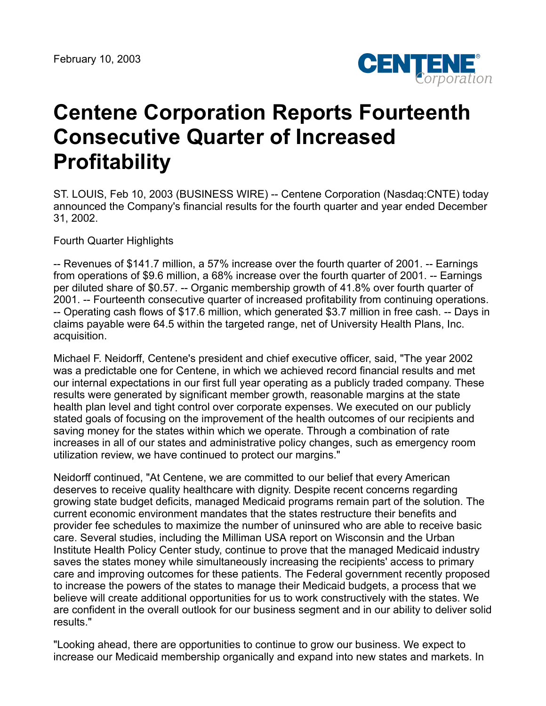

# **Centene Corporation Reports Fourteenth Consecutive Quarter of Increased Profitability**

ST. LOUIS, Feb 10, 2003 (BUSINESS WIRE) -- Centene Corporation (Nasdaq:CNTE) today announced the Company's financial results for the fourth quarter and year ended December 31, 2002.

Fourth Quarter Highlights

-- Revenues of \$141.7 million, a 57% increase over the fourth quarter of 2001. -- Earnings from operations of \$9.6 million, a 68% increase over the fourth quarter of 2001. -- Earnings per diluted share of \$0.57. -- Organic membership growth of 41.8% over fourth quarter of 2001. -- Fourteenth consecutive quarter of increased profitability from continuing operations. -- Operating cash flows of \$17.6 million, which generated \$3.7 million in free cash. -- Days in claims payable were 64.5 within the targeted range, net of University Health Plans, Inc. acquisition.

Michael F. Neidorff, Centene's president and chief executive officer, said, "The year 2002 was a predictable one for Centene, in which we achieved record financial results and met our internal expectations in our first full year operating as a publicly traded company. These results were generated by significant member growth, reasonable margins at the state health plan level and tight control over corporate expenses. We executed on our publicly stated goals of focusing on the improvement of the health outcomes of our recipients and saving money for the states within which we operate. Through a combination of rate increases in all of our states and administrative policy changes, such as emergency room utilization review, we have continued to protect our margins."

Neidorff continued, "At Centene, we are committed to our belief that every American deserves to receive quality healthcare with dignity. Despite recent concerns regarding growing state budget deficits, managed Medicaid programs remain part of the solution. The current economic environment mandates that the states restructure their benefits and provider fee schedules to maximize the number of uninsured who are able to receive basic care. Several studies, including the Milliman USA report on Wisconsin and the Urban Institute Health Policy Center study, continue to prove that the managed Medicaid industry saves the states money while simultaneously increasing the recipients' access to primary care and improving outcomes for these patients. The Federal government recently proposed to increase the powers of the states to manage their Medicaid budgets, a process that we believe will create additional opportunities for us to work constructively with the states. We are confident in the overall outlook for our business segment and in our ability to deliver solid results."

"Looking ahead, there are opportunities to continue to grow our business. We expect to increase our Medicaid membership organically and expand into new states and markets. In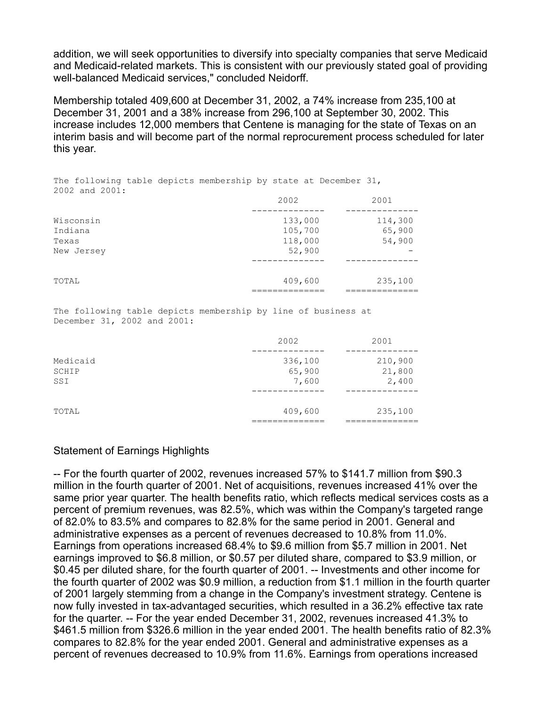addition, we will seek opportunities to diversify into specialty companies that serve Medicaid and Medicaid-related markets. This is consistent with our previously stated goal of providing well-balanced Medicaid services," concluded Neidorff.

Membership totaled 409,600 at December 31, 2002, a 74% increase from 235,100 at December 31, 2001 and a 38% increase from 296,100 at September 30, 2002. This increase includes 12,000 members that Centene is managing for the state of Texas on an interim basis and will become part of the normal reprocurement process scheduled for later this year.

| The following table depicts membership by state at December 31,<br>2002 and 2001: |         |         |
|-----------------------------------------------------------------------------------|---------|---------|
|                                                                                   | 2002    | 2001    |
| Wisconsin                                                                         | 133,000 | 114,300 |
| Indiana                                                                           | 105,700 | 65,900  |
| Texas                                                                             | 118,000 | 54,900  |
| New Jersey                                                                        | 52,900  |         |
|                                                                                   |         |         |
| TOTAL                                                                             | 409,600 | 235,100 |
|                                                                                   |         |         |

The following table depicts membership by line of business at December 31, 2002 and 2001:

|                   | 2002              | 2001              |
|-------------------|-------------------|-------------------|
| Medicaid<br>SCHIP | 336,100<br>65,900 | 210,900<br>21,800 |
| SSI               | 7,600             | 2,400             |
| TOTAL             | 409,600           | 235,100           |

# Statement of Earnings Highlights

-- For the fourth quarter of 2002, revenues increased 57% to \$141.7 million from \$90.3 million in the fourth quarter of 2001. Net of acquisitions, revenues increased 41% over the same prior year quarter. The health benefits ratio, which reflects medical services costs as a percent of premium revenues, was 82.5%, which was within the Company's targeted range of 82.0% to 83.5% and compares to 82.8% for the same period in 2001. General and administrative expenses as a percent of revenues decreased to 10.8% from 11.0%. Earnings from operations increased 68.4% to \$9.6 million from \$5.7 million in 2001. Net earnings improved to \$6.8 million, or \$0.57 per diluted share, compared to \$3.9 million, or \$0.45 per diluted share, for the fourth quarter of 2001. -- Investments and other income for the fourth quarter of 2002 was \$0.9 million, a reduction from \$1.1 million in the fourth quarter of 2001 largely stemming from a change in the Company's investment strategy. Centene is now fully invested in tax-advantaged securities, which resulted in a 36.2% effective tax rate for the quarter. -- For the year ended December 31, 2002, revenues increased 41.3% to \$461.5 million from \$326.6 million in the year ended 2001. The health benefits ratio of 82.3% compares to 82.8% for the year ended 2001. General and administrative expenses as a percent of revenues decreased to 10.9% from 11.6%. Earnings from operations increased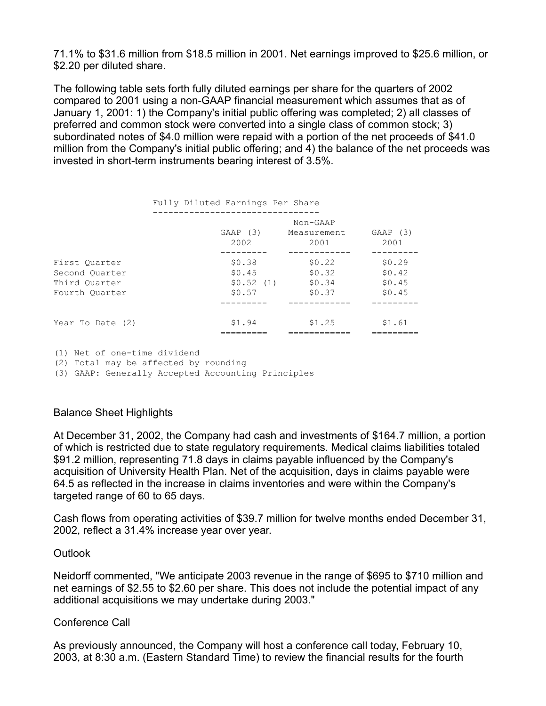71.1% to \$31.6 million from \$18.5 million in 2001. Net earnings improved to \$25.6 million, or \$2.20 per diluted share.

The following table sets forth fully diluted earnings per share for the quarters of 2002 compared to 2001 using a non-GAAP financial measurement which assumes that as of January 1, 2001: 1) the Company's initial public offering was completed; 2) all classes of preferred and common stock were converted into a single class of common stock; 3) subordinated notes of \$4.0 million were repaid with a portion of the net proceeds of \$41.0 million from the Company's initial public offering; and 4) the balance of the net proceeds was invested in short-term instruments bearing interest of 3.5%.

|                                                                    | Fully Diluted Earnings Per Share        |                                      |                                      |
|--------------------------------------------------------------------|-----------------------------------------|--------------------------------------|--------------------------------------|
|                                                                    | GAAP (3)<br>2002                        | Non-GAAP<br>Measurement<br>2001      | GAAP (3)<br>2001                     |
| First Ouarter<br>Second Ouarter<br>Third Ouarter<br>Fourth Ouarter | \$0.38<br>\$0.45<br>\$0.52(1)<br>\$0.57 | \$0.22<br>\$0.32<br>\$0.34<br>\$0.37 | \$0.29<br>\$0.42<br>\$0.45<br>\$0.45 |
| Year To Date (2)                                                   | \$1.94                                  | \$1.25                               | \$1.61                               |

(1) Net of one-time dividend

(2) Total may be affected by rounding

(3) GAAP: Generally Accepted Accounting Principles

## Balance Sheet Highlights

At December 31, 2002, the Company had cash and investments of \$164.7 million, a portion of which is restricted due to state regulatory requirements. Medical claims liabilities totaled \$91.2 million, representing 71.8 days in claims payable influenced by the Company's acquisition of University Health Plan. Net of the acquisition, days in claims payable were 64.5 as reflected in the increase in claims inventories and were within the Company's targeted range of 60 to 65 days.

Cash flows from operating activities of \$39.7 million for twelve months ended December 31, 2002, reflect a 31.4% increase year over year.

## **Outlook**

Neidorff commented, "We anticipate 2003 revenue in the range of \$695 to \$710 million and net earnings of \$2.55 to \$2.60 per share. This does not include the potential impact of any additional acquisitions we may undertake during 2003."

# Conference Call

As previously announced, the Company will host a conference call today, February 10, 2003, at 8:30 a.m. (Eastern Standard Time) to review the financial results for the fourth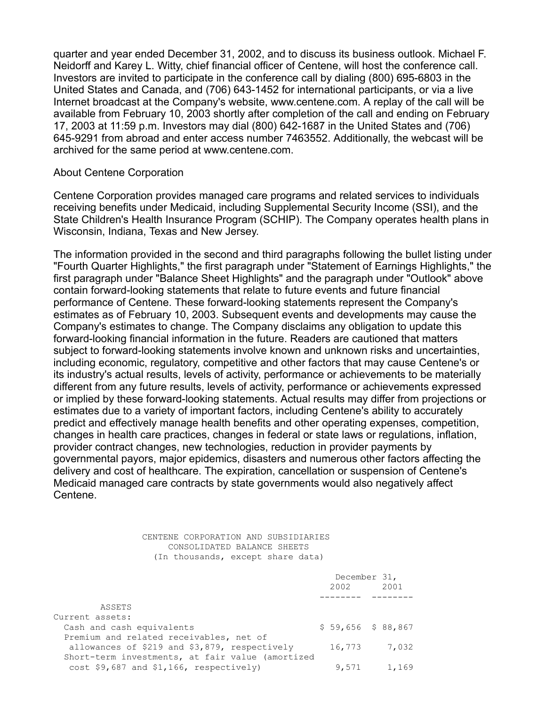quarter and year ended December 31, 2002, and to discuss its business outlook. Michael F. Neidorff and Karey L. Witty, chief financial officer of Centene, will host the conference call. Investors are invited to participate in the conference call by dialing (800) 695-6803 in the United States and Canada, and (706) 643-1452 for international participants, or via a live Internet broadcast at the Company's website, www.centene.com. A replay of the call will be available from February 10, 2003 shortly after completion of the call and ending on February 17, 2003 at 11:59 p.m. Investors may dial (800) 642-1687 in the United States and (706) 645-9291 from abroad and enter access number 7463552. Additionally, the webcast will be archived for the same period at www.centene.com.

## About Centene Corporation

Centene Corporation provides managed care programs and related services to individuals receiving benefits under Medicaid, including Supplemental Security Income (SSI), and the State Children's Health Insurance Program (SCHIP). The Company operates health plans in Wisconsin, Indiana, Texas and New Jersey.

The information provided in the second and third paragraphs following the bullet listing under "Fourth Quarter Highlights," the first paragraph under "Statement of Earnings Highlights," the first paragraph under "Balance Sheet Highlights" and the paragraph under "Outlook" above contain forward-looking statements that relate to future events and future financial performance of Centene. These forward-looking statements represent the Company's estimates as of February 10, 2003. Subsequent events and developments may cause the Company's estimates to change. The Company disclaims any obligation to update this forward-looking financial information in the future. Readers are cautioned that matters subject to forward-looking statements involve known and unknown risks and uncertainties, including economic, regulatory, competitive and other factors that may cause Centene's or its industry's actual results, levels of activity, performance or achievements to be materially different from any future results, levels of activity, performance or achievements expressed or implied by these forward-looking statements. Actual results may differ from projections or estimates due to a variety of important factors, including Centene's ability to accurately predict and effectively manage health benefits and other operating expenses, competition, changes in health care practices, changes in federal or state laws or regulations, inflation, provider contract changes, new technologies, reduction in provider payments by governmental payors, major epidemics, disasters and numerous other factors affecting the delivery and cost of healthcare. The expiration, cancellation or suspension of Centene's Medicaid managed care contracts by state governments would also negatively affect Centene.

#### CENTENE CORPORATION AND SUBSIDIARIES CONSOLIDATED BALANCE SHEETS (In thousands, except share data)

|                                                  | December 31,<br>2002 |  | 2001  |  |
|--------------------------------------------------|----------------------|--|-------|--|
|                                                  |                      |  |       |  |
| ASSETS                                           |                      |  |       |  |
| Current assets:                                  |                      |  |       |  |
| Cash and cash equivalents                        | $$59,656$ $$88,867$  |  |       |  |
| Premium and related receivables, net of          |                      |  |       |  |
| allowances of \$219 and \$3,879, respectively    | 16,773               |  | 7,032 |  |
| Short-term investments, at fair value (amortized |                      |  |       |  |
| cost \$9,687 and \$1,166, respectively)          | 9,571                |  | 1,169 |  |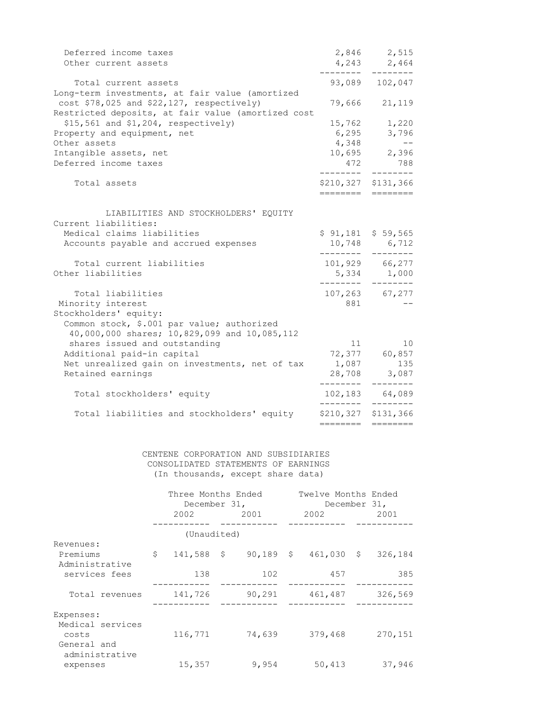| Deferred income taxes<br>Other current assets                                                                                                      |                              | 2,846 2,515<br>$4,243$ $2,464$<br>-------- |
|----------------------------------------------------------------------------------------------------------------------------------------------------|------------------------------|--------------------------------------------|
| Total current assets                                                                                                                               |                              | 93,089 102,047                             |
| Long-term investments, at fair value (amortized<br>cost \$78,025 and \$22,127, respectively)<br>Restricted deposits, at fair value (amortized cost | 79,666                       | 21,119                                     |
| \$15,561 and \$1,204, respectively)                                                                                                                |                              | 15,762 1,220                               |
| Property and equipment, net                                                                                                                        |                              | 6,295 3,796                                |
| Other assets                                                                                                                                       | 4,348                        | $- -$                                      |
| Intangible assets, net                                                                                                                             |                              | 10,695 2,396                               |
| Deferred income taxes                                                                                                                              |                              | 472 788                                    |
| Total assets                                                                                                                                       | ========                     | \$210,327 \$131,366                        |
| LIABILITIES AND STOCKHOLDERS' EQUITY<br>Current liabilities:                                                                                       |                              |                                            |
| Medical claims liabilities                                                                                                                         |                              | $$91,181$ $$59,565$                        |
| Accounts payable and accrued expenses                                                                                                              |                              | 10,748 6,712                               |
| Total current liabilities                                                                                                                          | --------                     | 101,929 66,277                             |
| Other liabilities                                                                                                                                  | ________                     | 5,334 1,000                                |
| Total liabilities                                                                                                                                  |                              | 107,263 67,277                             |
| Minority interest                                                                                                                                  |                              | 881 38                                     |
| Stockholders' equity:<br>Common stock, \$.001 par value; authorized<br>40,000,000 shares; 10,829,099 and 10,085,112                                |                              |                                            |
| shares issued and outstanding                                                                                                                      | 11                           | 10                                         |
| Additional paid-in capital                                                                                                                         |                              | 72,377 60,857                              |
| Net unrealized gain on investments, net of tax                                                                                                     |                              | 1,087 135                                  |
| Retained earnings                                                                                                                                  |                              | 28,708 3,087                               |
| Total stockholders' equity                                                                                                                         | . _ _ _ _ _ _ _<br>--------- | ---------<br>102,183 64,089<br>---------   |
| Total liabilities and stockholders' equity                                                                                                         | ========                     | \$210,327 \$131,366<br>========            |

 CENTENE CORPORATION AND SUBSIDIARIES CONSOLIDATED STATEMENTS OF EARNINGS (In thousands, except share data)

|                                         | Three Months Ended<br>December 31,<br>2002 | 2001   | Twelve Months Ended<br>December 31,<br>2002 | 2001    |
|-----------------------------------------|--------------------------------------------|--------|---------------------------------------------|---------|
|                                         | (Unaudited)                                |        |                                             |         |
| Revenues:<br>Premiums<br>Administrative | \$<br>$141,588$ \$                         |        | $90,189$ \$ 461,030 \$                      | 326,184 |
| services fees                           | 138                                        | 102    | 457                                         | 385     |
| Total revenues                          | 141,726                                    | 90,291 | 461,487                                     | 326,569 |
| Expenses:<br>Medical services           |                                            |        |                                             |         |
| costs<br>General and<br>administrative  | 116,771                                    | 74,639 | 379,468                                     | 270,151 |
| expenses                                | 15,357                                     | 9,954  | 50,413                                      | 37,946  |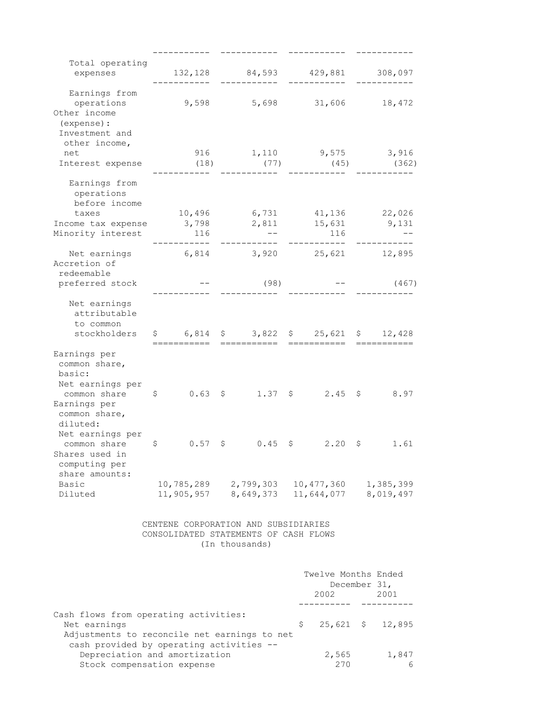| Total operating<br>expenses<br>Earnings from<br>operations<br>(expense) :<br>Investment and<br>other income,<br>net<br>Interest expense<br>Earnings from<br>operations<br>before income<br>taxes<br>Net earnings 6,814 3,920 25,621 12,895<br>redeemable<br>preferred stock | $(18)$ $(77)$ $(45)$ $(362)$<br>--------- | 132, 128 84, 593 429, 881 308, 097<br>._______     ____________<br>9,598 5,698 31,606 18,472<br>916 1,110 9,575 3,916<br>10,496 6,731 41,136 22,026<br>$116 - -$<br>----------- | ___________<br>116       |                        |
|-----------------------------------------------------------------------------------------------------------------------------------------------------------------------------------------------------------------------------------------------------------------------------|-------------------------------------------|---------------------------------------------------------------------------------------------------------------------------------------------------------------------------------|--------------------------|------------------------|
| Other income<br>Income tax expense 3,798 2,811 15,631 9,131                                                                                                                                                                                                                 |                                           |                                                                                                                                                                                 |                          |                        |
| Minority interest<br>Accretion of                                                                                                                                                                                                                                           |                                           |                                                                                                                                                                                 |                          |                        |
|                                                                                                                                                                                                                                                                             |                                           |                                                                                                                                                                                 |                          |                        |
|                                                                                                                                                                                                                                                                             |                                           |                                                                                                                                                                                 |                          |                        |
|                                                                                                                                                                                                                                                                             |                                           |                                                                                                                                                                                 | -----------              |                        |
|                                                                                                                                                                                                                                                                             |                                           |                                                                                                                                                                                 |                          |                        |
|                                                                                                                                                                                                                                                                             |                                           | (98)                                                                                                                                                                            |                          | (467)                  |
| Net earnings<br>attributable<br>to common<br>stockholders \$ 6,814 \$ 3,822 \$ 25,621 \$ 12,428                                                                                                                                                                             | ===========                               | ===========                                                                                                                                                                     |                          |                        |
| Earnings per<br>common share,<br>basic:<br>Net earnings per<br>common share \$ 0.63 \$ 1.37 \$ 2.45 \$ 8.97<br>Earnings per<br>common share,                                                                                                                                |                                           |                                                                                                                                                                                 |                          |                        |
| diluted:<br>Net earnings per<br>common share \$<br>Shares used in<br>computing per                                                                                                                                                                                          |                                           | $0.57$ \$ $0.45$ \$ $2.20$ \$ 1.61                                                                                                                                              |                          |                        |
| share amounts:<br>Basic<br>Diluted                                                                                                                                                                                                                                          | 10,785,289<br>11,905,957                  | 2,799,303<br>8,649,373                                                                                                                                                          | 10,477,360<br>11,644,077 | 1,385,399<br>8,019,497 |

|                                                                                                         |      | Twelve Months Ended<br>December 31, |                         |
|---------------------------------------------------------------------------------------------------------|------|-------------------------------------|-------------------------|
|                                                                                                         | 2002 |                                     | 2001                    |
| Cash flows from operating activities:<br>Net earnings<br>Adjustments to reconcile net earnings to net   |      |                                     | $$25,621 \quad $12,895$ |
| cash provided by operating activities --<br>Depreciation and amortization<br>Stock compensation expense |      | 2,565<br>270                        | 1,847<br>6              |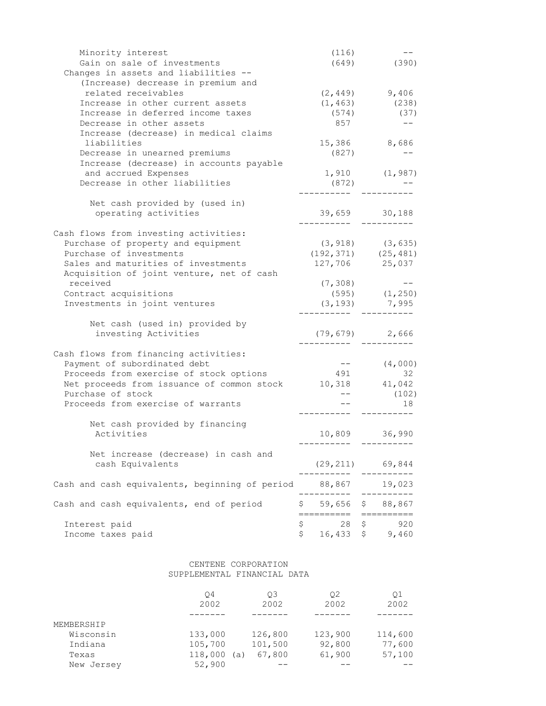| Minority interest                                        |    | (116)                    |    |                    |
|----------------------------------------------------------|----|--------------------------|----|--------------------|
| Gain on sale of investments                              |    | (649)                    |    | (390)              |
| Changes in assets and liabilities --                     |    |                          |    |                    |
| (Increase) decrease in premium and                       |    |                          |    |                    |
| related receivables                                      |    |                          |    | $(2, 449)$ 9,406   |
| Increase in other current assets                         |    | (1, 463)                 |    | (238)              |
| Increase in deferred income taxes                        |    | (574)                    |    | (37)               |
| Decrease in other assets                                 |    | 857                      |    |                    |
| Increase (decrease) in medical claims                    |    |                          |    |                    |
| liabilities                                              |    |                          |    | 15,386 8,686       |
| Decrease in unearned premiums                            |    | (827)                    |    |                    |
| Increase (decrease) in accounts payable                  |    |                          |    |                    |
| and accrued Expenses                                     |    |                          |    | $1,910$ $(1,987)$  |
| Decrease in other liabilities                            |    | (872)                    |    |                    |
|                                                          |    |                          |    |                    |
| Net cash provided by (used in)                           |    |                          |    |                    |
| operating activities                                     |    |                          |    | 39,659 30,188      |
|                                                          |    |                          |    |                    |
|                                                          |    |                          |    |                    |
| Cash flows from investing activities:                    |    |                          |    |                    |
| Purchase of property and equipment                       |    | $(3, 918)$ $(3, 635)$    |    |                    |
| Purchase of investments                                  |    | $(192, 371)$ $(25, 481)$ |    |                    |
| Sales and maturities of investments                      |    | 127,706 25,037           |    |                    |
| Acquisition of joint venture, net of cash                |    |                          |    |                    |
| received                                                 |    | (7, 308)                 |    | $- -$              |
| Contract acquisitions                                    |    |                          |    | $(595)$ $(1, 250)$ |
| Investments in joint ventures                            |    |                          |    | $(3, 193)$ 7,995   |
|                                                          |    |                          |    |                    |
| Net cash (used in) provided by                           |    |                          |    |                    |
| investing Activities                                     |    | $(79, 679)$ 2,666        |    |                    |
|                                                          |    |                          |    |                    |
| Cash flows from financing activities:                    |    |                          |    |                    |
| Payment of subordinated debt                             |    | $--$                     |    | (4,000)            |
| Proceeds from exercise of stock options                  |    | 491                      |    | 32                 |
| Net proceeds from issuance of common stock 10,318 41,042 |    |                          |    |                    |
| Purchase of stock                                        |    | $--$                     |    | (102)              |
| Proceeds from exercise of warrants                       |    |                          |    | 18                 |
|                                                          |    |                          |    |                    |
| Net cash provided by financing                           |    |                          |    |                    |
| Activities                                               |    |                          |    | 10,809 36,990      |
|                                                          |    |                          |    |                    |
| Net increase (decrease) in cash and                      |    |                          |    |                    |
| cash Equivalents                                         |    | $(29, 211)$ 69,844       |    |                    |
|                                                          |    |                          |    | ------             |
| Cash and cash equivalents, beginning of period           |    | 88,867                   |    | 19,023             |
|                                                          |    |                          |    |                    |
| Cash and cash equivalents, end of period                 | Ş. | 59,656                   | Ş  | 88,867             |
|                                                          |    | ======                   |    | :========          |
| Interest paid                                            | \$ | 28                       | \$ | 920                |
| Income taxes paid                                        | \$ | 16,433                   | \$ | 9,460              |
|                                                          |    |                          |    |                    |

### CENTENE CORPORATION SUPPLEMENTAL FINANCIAL DATA

|            | O4      | OЗ            | 02      | 01      |
|------------|---------|---------------|---------|---------|
|            | 2002    | 2002          | 2002    | 2002    |
|            |         |               |         |         |
| MEMBERSHIP |         |               |         |         |
| Wisconsin  | 133,000 | 126,800       | 123,900 | 114,600 |
| Indiana    | 105,700 | 101,500       | 92,800  | 77,600  |
| Texas      | 118,000 | 67,800<br>(a) | 61,900  | 57,100  |
| New Jersey | 52,900  |               |         |         |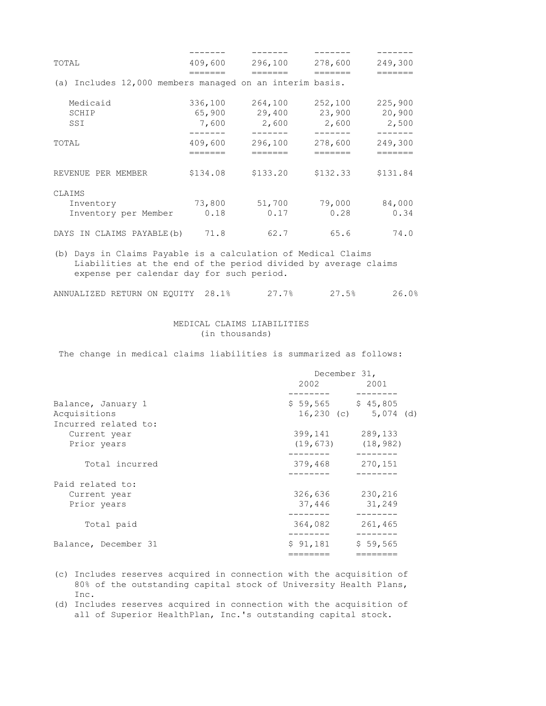| TOTAL                                                         |         | 409,600 296,100         | 278,600             | 249,300       |
|---------------------------------------------------------------|---------|-------------------------|---------------------|---------------|
|                                                               | ======= | $=$ $=$ $=$ $=$ $=$ $=$ | =======             | ———————       |
| (a) Includes 12,000 members managed on an interim basis.      |         |                         |                     |               |
| Medicaid                                                      | 336,100 | 264,100                 | 252,100             | 225,900       |
| SCHIP                                                         |         | 65,900 29,400 23,900    |                     | 20,900        |
| SSI                                                           | 7,600   | 2,600                   | 2,600               | 2,500         |
|                                                               | ------- |                         | $- - - - - - -$     | $- - - - - -$ |
| TOTAL                                                         | 409,600 | 296,100                 | 278,600             | 249,300       |
|                                                               |         | =======                 |                     |               |
| REVENUE PER MEMBER                                            |         | $$134.08$ $$133.20$     | $$132.33$ $$131.84$ |               |
| CLAIMS                                                        |         |                         |                     |               |
| Inventory                                                     |         | 73,800 51,700 79,000    |                     | 84,000        |
| Inventory per Member 0.18                                     |         | 0.17                    | 0.28                | 0.34          |
| DAYS IN CLAIMS PAYABLE(b) 71.8                                |         | 62.7                    | 65.6                | 74.0          |
| (b) Days in Claims Payable is a calculation of Medical Claims |         |                         |                     |               |

 Liabilities at the end of the period divided by average claims expense per calendar day for such period.

| ANNUALIZED RETURN ON EQUITY |  | 21.15 | <u>zisin</u> |  |
|-----------------------------|--|-------|--------------|--|
|-----------------------------|--|-------|--------------|--|

#### MEDICAL CLAIMS LIABILITIES (in thousands)

The change in medical claims liabilities is summarized as follows:

|                                                            | December 31,                                                                                                                                                                                                                    |                      |
|------------------------------------------------------------|---------------------------------------------------------------------------------------------------------------------------------------------------------------------------------------------------------------------------------|----------------------|
|                                                            | 2002 - 2003 - 2004 - 2005 - 2006 - 2007 - 2007 - 2008 - 2008 - 2008 - 2008 - 2008 - 2008 - 2008 - 2008 - 2008 - 2008 - 2008 - 2008 - 2008 - 2008 - 2008 - 2008 - 2008 - 2008 - 2008 - 2008 - 2008 - 2008 - 2008 - 2008 - 2008 - | 2001                 |
| Balance, January 1<br>Acquisitions<br>Incurred related to: | $$59,565$ $$45,805$<br>$16,230$ (c)                                                                                                                                                                                             | $5,074$ (d)          |
| Current year<br>Prior years                                | 399,141<br>(19, 673)                                                                                                                                                                                                            | 289,133<br>(18, 982) |
| Total incurred                                             | 379,468                                                                                                                                                                                                                         | 270,151              |
| Paid related to:<br>Current year<br>Prior years            | 326,636<br>37,446                                                                                                                                                                                                               | 230,216<br>31,249    |
| Total paid                                                 | 364,082                                                                                                                                                                                                                         | 261,465              |
| Balance, December 31                                       | \$91,181                                                                                                                                                                                                                        | \$59,565             |

- (c) Includes reserves acquired in connection with the acquisition of 80% of the outstanding capital stock of University Health Plans, Inc.
- (d) Includes reserves acquired in connection with the acquisition of all of Superior HealthPlan, Inc.'s outstanding capital stock.